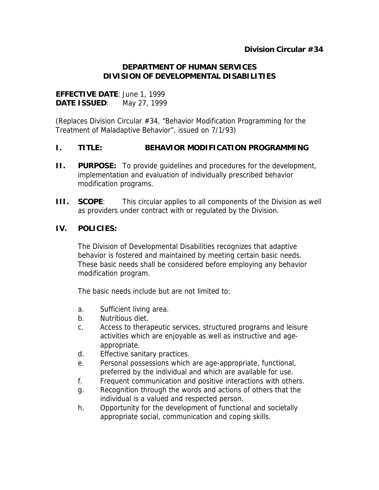#### **DEPARTMENT OF HUMAN SERVICES DIVISION OF DEVELOPMENTAL DISABILITIES**

# **EFFECTIVE DATE**: June 1, 1999 **DATE ISSUED**: May 27, 1999

(Replaces Division Circular #34, "Behavior Modification Programming for the Treatment of Maladaptive Behavior", issued on 7/1/93)

# **I. TITLE: BEHAVIOR MODIFICATION PROGRAMMING**

- **II. PURPOSE:** To provide guidelines and procedures for the development, implementation and evaluation of individually prescribed behavior modification programs.
- **III. SCOPE:** This circular applies to all components of the Division as well as providers under contract with or regulated by the Division.

# **IV. POLICIES:**

The Division of Developmental Disabilities recognizes that adaptive behavior is fostered and maintained by meeting certain basic needs. These basic needs shall be considered before employing any behavior modification program.

The basic needs include but are not limited to:

- a. Sufficient living area.
- b. Nutritious diet.
- c. Access to therapeutic services, structured programs and leisure activities which are enjoyable as well as instructive and ageappropriate.
- d. Effective sanitary practices.
- e. Personal possessions which are age-appropriate, functional, preferred by the individual and which are available for use.
- f. Frequent communication and positive interactions with others.
- g. Recognition through the words and actions of others that the individual is a valued and respected person.
- h. Opportunity for the development of functional and societally appropriate social, communication and coping skills.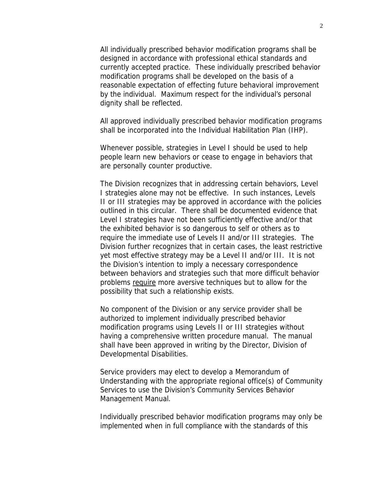All individually prescribed behavior modification programs shall be designed in accordance with professional ethical standards and currently accepted practice. These individually prescribed behavior modification programs shall be developed on the basis of a reasonable expectation of effecting future behavioral improvement by the individual. Maximum respect for the individual's personal dignity shall be reflected.

All approved individually prescribed behavior modification programs shall be incorporated into the Individual Habilitation Plan (IHP).

Whenever possible, strategies in Level I should be used to help people learn new behaviors or cease to engage in behaviors that are personally counter productive.

The Division recognizes that in addressing certain behaviors, Level I strategies alone may not be effective. In such instances, Levels II or III strategies may be approved in accordance with the policies outlined in this circular. There shall be documented evidence that Level I strategies have not been sufficiently effective and/or that the exhibited behavior is so dangerous to self or others as to require the immediate use of Levels II and/or III strategies. The Division further recognizes that in certain cases, the least restrictive yet most effective strategy may be a Level II and/or III. It is not the Division's intention to imply a necessary correspondence between behaviors and strategies such that more difficult behavior problems require more aversive techniques but to allow for the possibility that such a relationship exists.

No component of the Division or any service provider shall be authorized to implement individually prescribed behavior modification programs using Levels II or III strategies without having a comprehensive written procedure manual. The manual shall have been approved in writing by the Director, Division of Developmental Disabilities.

Service providers may elect to develop a Memorandum of Understanding with the appropriate regional office(s) of Community Services to use the Division's Community Services Behavior Management Manual.

Individually prescribed behavior modification programs may only be implemented when in full compliance with the standards of this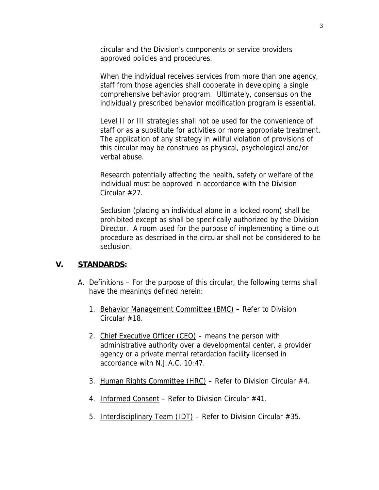circular and the Division's components or service providers approved policies and procedures.

When the individual receives services from more than one agency, staff from those agencies shall cooperate in developing a single comprehensive behavior program. Ultimately, consensus on the individually prescribed behavior modification program is essential.

Level II or III strategies shall not be used for the convenience of staff or as a substitute for activities or more appropriate treatment. The application of any strategy in willful violation of provisions of this circular may be construed as physical, psychological and/or verbal abuse.

Research potentially affecting the health, safety or welfare of the individual must be approved in accordance with the Division Circular #27.

Seclusion (placing an individual alone in a locked room) shall be prohibited except as shall be specifically authorized by the Division Director. A room used for the purpose of implementing a time out procedure as described in the circular shall not be considered to be seclusion.

#### **V. STANDARDS:**

- A. Definitions For the purpose of this circular, the following terms shall have the meanings defined herein:
	- 1. Behavior Management Committee (BMC) Refer to Division Circular #18.
	- 2. Chief Executive Officer (CEO) means the person with administrative authority over a developmental center, a provider agency or a private mental retardation facility licensed in accordance with N.J.A.C. 10:47.
	- 3. Human Rights Committee (HRC) Refer to Division Circular #4.
	- 4. Informed Consent Refer to Division Circular #41.
	- 5. Interdisciplinary Team  $(IDT)$  Refer to Division Circular #35.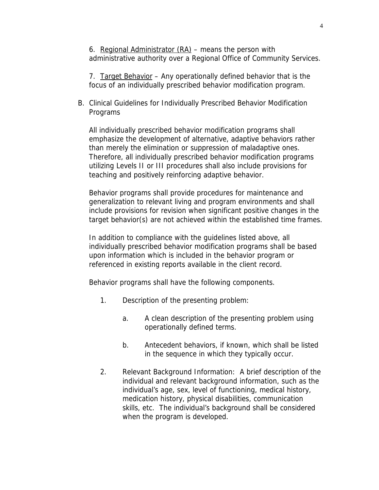6. Regional Administrator  $(RA)$  – means the person with administrative authority over a Regional Office of Community Services.

7. Target Behavior – Any operationally defined behavior that is the focus of an individually prescribed behavior modification program.

B. Clinical Guidelines for Individually Prescribed Behavior Modification Programs

All individually prescribed behavior modification programs shall emphasize the development of alternative, adaptive behaviors rather than merely the elimination or suppression of maladaptive ones. Therefore, all individually prescribed behavior modification programs utilizing Levels II or III procedures shall also include provisions for teaching and positively reinforcing adaptive behavior.

Behavior programs shall provide procedures for maintenance and generalization to relevant living and program environments and shall include provisions for revision when significant positive changes in the target behavior(s) are not achieved within the established time frames.

In addition to compliance with the guidelines listed above, all individually prescribed behavior modification programs shall be based upon information which is included in the behavior program or referenced in existing reports available in the client record.

Behavior programs shall have the following components.

- 1. Description of the presenting problem:
	- a. A clean description of the presenting problem using operationally defined terms.
	- b. Antecedent behaviors, if known, which shall be listed in the sequence in which they typically occur.
- 2. Relevant Background Information: A brief description of the individual and relevant background information, such as the individual's age, sex, level of functioning, medical history, medication history, physical disabilities, communication skills, etc. The individual's background shall be considered when the program is developed.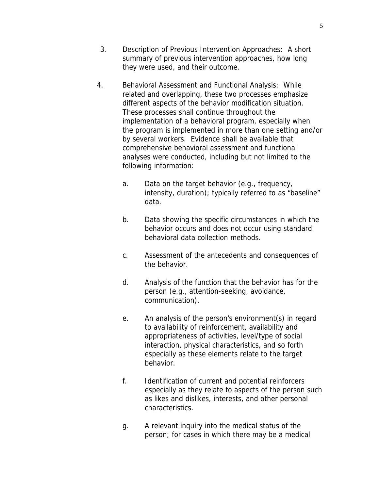- 3. Description of Previous Intervention Approaches: A short summary of previous intervention approaches, how long they were used, and their outcome.
- 4. Behavioral Assessment and Functional Analysis: While related and overlapping, these two processes emphasize different aspects of the behavior modification situation. These processes shall continue throughout the implementation of a behavioral program, especially when the program is implemented in more than one setting and/or by several workers. Evidence shall be available that comprehensive behavioral assessment and functional analyses were conducted, including but not limited to the following information:
	- a. Data on the target behavior (e.g., frequency, intensity, duration); typically referred to as "baseline" data.
	- b. Data showing the specific circumstances in which the behavior occurs and does not occur using standard behavioral data collection methods.
	- c. Assessment of the antecedents and consequences of the behavior.
	- d. Analysis of the function that the behavior has for the person (e.g., attention-seeking, avoidance, communication).
	- e. An analysis of the person's environment(s) in regard to availability of reinforcement, availability and appropriateness of activities, level/type of social interaction, physical characteristics, and so forth especially as these elements relate to the target behavior.
	- f. Identification of current and potential reinforcers especially as they relate to aspects of the person such as likes and dislikes, interests, and other personal characteristics.
	- g. A relevant inquiry into the medical status of the person; for cases in which there may be a medical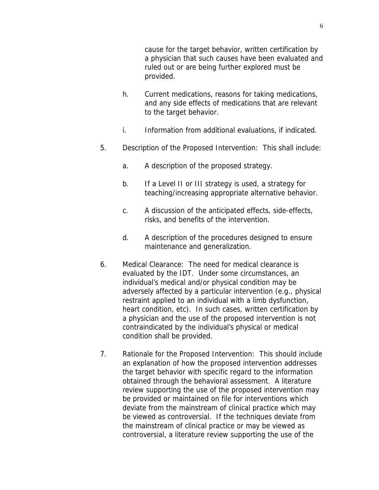cause for the target behavior, written certification by a physician that such causes have been evaluated and ruled out or are being further explored must be provided.

- h. Current medications, reasons for taking medications, and any side effects of medications that are relevant to the target behavior.
- i. Information from additional evaluations, if indicated.
- 5. Description of the Proposed Intervention: This shall include:
	- a. A description of the proposed strategy.
	- b. If a Level II or III strategy is used, a strategy for teaching/increasing appropriate alternative behavior.
	- c. A discussion of the anticipated effects, side-effects, risks, and benefits of the intervention.
	- d. A description of the procedures designed to ensure maintenance and generalization.
- 6. Medical Clearance: The need for medical clearance is evaluated by the IDT. Under some circumstances, an individual's medical and/or physical condition may be adversely affected by a particular intervention (e.g., physical restraint applied to an individual with a limb dysfunction, heart condition, etc). In such cases, written certification by a physician and the use of the proposed intervention is not contraindicated by the individual's physical or medical condition shall be provided.
- 7. Rationale for the Proposed Intervention: This should include an explanation of how the proposed intervention addresses the target behavior with specific regard to the information obtained through the behavioral assessment. A literature review supporting the use of the proposed intervention may be provided or maintained on file for interventions which deviate from the mainstream of clinical practice which may be viewed as controversial. If the techniques deviate from the mainstream of clinical practice or may be viewed as controversial, a literature review supporting the use of the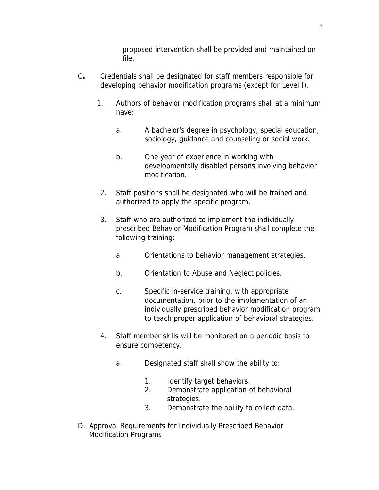proposed intervention shall be provided and maintained on file.

- C**.** Credentials shall be designated for staff members responsible for developing behavior modification programs (except for Level I).
	- 1. Authors of behavior modification programs shall at a minimum have:
		- a. A bachelor's degree in psychology, special education, sociology, guidance and counseling or social work.
		- b. One year of experience in working with developmentally disabled persons involving behavior modification.
	- 2. Staff positions shall be designated who will be trained and authorized to apply the specific program.
	- 3. Staff who are authorized to implement the individually prescribed Behavior Modification Program shall complete the following training:
		- a. Orientations to behavior management strategies.
		- b. Orientation to Abuse and Neglect policies.
		- c. Specific in-service training, with appropriate documentation, prior to the implementation of an individually prescribed behavior modification program, to teach proper application of behavioral strategies.
	- 4. Staff member skills will be monitored on a periodic basis to ensure competency.
		- a. Designated staff shall show the ability to:
			- 1. Identify target behaviors.
			- 2. Demonstrate application of behavioral strategies.
			- 3. Demonstrate the ability to collect data.
- D. Approval Requirements for Individually Prescribed Behavior Modification Programs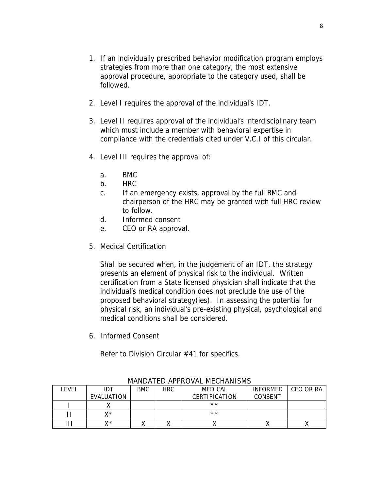- 1. If an individually prescribed behavior modification program employs strategies from more than one category, the most extensive approval procedure, appropriate to the category used, shall be followed.
- 2. Level I requires the approval of the individual's IDT.
- 3. Level II requires approval of the individual's interdisciplinary team which must include a member with behavioral expertise in compliance with the credentials cited under V.C.I of this circular.
- 4. Level III requires the approval of:
	- a. BMC
	- b. HRC
	- c. If an emergency exists, approval by the full BMC and chairperson of the HRC may be granted with full HRC review to follow.
	- d. Informed consent
	- e. CEO or RA approval.
- 5. Medical Certification

Shall be secured when, in the judgement of an IDT, the strategy presents an element of physical risk to the individual. Written certification from a State licensed physician shall indicate that the individual's medical condition does not preclude the use of the proposed behavioral strategy(ies). In assessing the potential for physical risk, an individual's pre-existing physical, psychological and medical conditions shall be considered.

6. Informed Consent

Refer to Division Circular #41 for specifics.

| _EVEL | IDT        | <b>BMC</b> | HRC. | MEDICAL       | <b>INFORMED</b> | CEO OR RA |
|-------|------------|------------|------|---------------|-----------------|-----------|
|       | EVALUATION |            |      | CERTIFICATION | CONSENT         |           |
|       |            |            |      | $***$         |                 |           |
|       | v*         |            |      | $***$         |                 |           |
|       | v*         |            |      |               |                 |           |

MANDATED APPROVAL MECHANISMS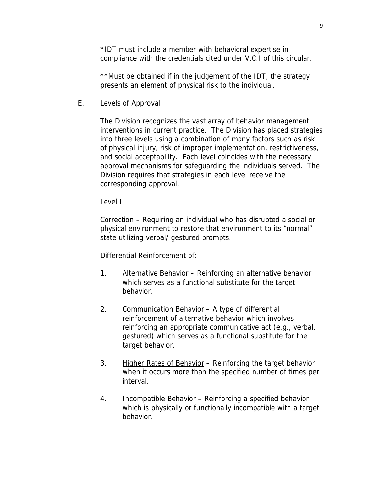\*IDT must include a member with behavioral expertise in compliance with the credentials cited under V.C.I of this circular.

\*\*Must be obtained if in the judgement of the IDT, the strategy presents an element of physical risk to the individual.

E. Levels of Approval

The Division recognizes the vast array of behavior management interventions in current practice. The Division has placed strategies into three levels using a combination of many factors such as risk of physical injury, risk of improper implementation, restrictiveness, and social acceptability. Each level coincides with the necessary approval mechanisms for safeguarding the individuals served. The Division requires that strategies in each level receive the corresponding approval.

Level I

Correction – Requiring an individual who has disrupted a social or physical environment to restore that environment to its "normal" state utilizing verbal/ gestured prompts.

#### Differential Reinforcement of:

- 1. Alternative Behavior Reinforcing an alternative behavior which serves as a functional substitute for the target behavior.
- 2. Communication Behavior A type of differential reinforcement of alternative behavior which involves reinforcing an appropriate communicative act (e.g., verbal, gestured) which serves as a functional substitute for the target behavior.
- 3. Higher Rates of Behavior Reinforcing the target behavior when it occurs more than the specified number of times per interval.
- 4. Incompatible Behavior Reinforcing a specified behavior which is physically or functionally incompatible with a target behavior.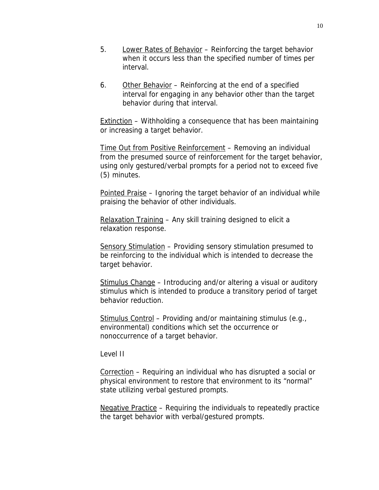- 5. Lower Rates of Behavior Reinforcing the target behavior when it occurs less than the specified number of times per interval.
- 6. Other Behavior Reinforcing at the end of a specified interval for engaging in any behavior other than the target behavior during that interval.

Extinction – Withholding a consequence that has been maintaining or increasing a target behavior.

Time Out from Positive Reinforcement – Removing an individual from the presumed source of reinforcement for the target behavior, using only gestured/verbal prompts for a period not to exceed five (5) minutes.

Pointed Praise – Ignoring the target behavior of an individual while praising the behavior of other individuals.

Relaxation Training – Any skill training designed to elicit a relaxation response.

Sensory Stimulation – Providing sensory stimulation presumed to be reinforcing to the individual which is intended to decrease the target behavior.

Stimulus Change – Introducing and/or altering a visual or auditory stimulus which is intended to produce a transitory period of target behavior reduction.

Stimulus Control – Providing and/or maintaining stimulus (e.g., environmental) conditions which set the occurrence or nonoccurrence of a target behavior.

Level II

Correction – Requiring an individual who has disrupted a social or physical environment to restore that environment to its "normal" state utilizing verbal gestured prompts.

Negative Practice – Requiring the individuals to repeatedly practice the target behavior with verbal/gestured prompts.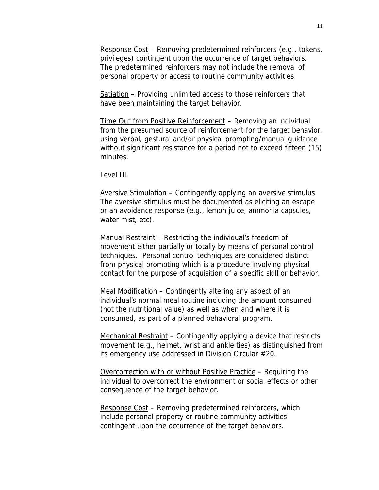Response Cost – Removing predetermined reinforcers (e.g., tokens, privileges) contingent upon the occurrence of target behaviors. The predetermined reinforcers may not include the removal of personal property or access to routine community activities.

Satiation – Providing unlimited access to those reinforcers that have been maintaining the target behavior.

Time Out from Positive Reinforcement – Removing an individual from the presumed source of reinforcement for the target behavior, using verbal, gestural and/or physical prompting/manual guidance without significant resistance for a period not to exceed fifteen (15) minutes.

Level III

Aversive Stimulation – Contingently applying an aversive stimulus. The aversive stimulus must be documented as eliciting an escape or an avoidance response (e.g., lemon juice, ammonia capsules, water mist, etc).

Manual Restraint – Restricting the individual's freedom of movement either partially or totally by means of personal control techniques. Personal control techniques are considered distinct from physical prompting which is a procedure involving physical contact for the purpose of acquisition of a specific skill or behavior.

Meal Modification – Contingently altering any aspect of an individual's normal meal routine including the amount consumed (not the nutritional value) as well as when and where it is consumed, as part of a planned behavioral program.

Mechanical Restraint – Contingently applying a device that restricts movement (e.g., helmet, wrist and ankle ties) as distinguished from its emergency use addressed in Division Circular #20.

Overcorrection with or without Positive Practice – Requiring the individual to overcorrect the environment or social effects or other consequence of the target behavior.

Response Cost – Removing predetermined reinforcers, which include personal property or routine community activities contingent upon the occurrence of the target behaviors.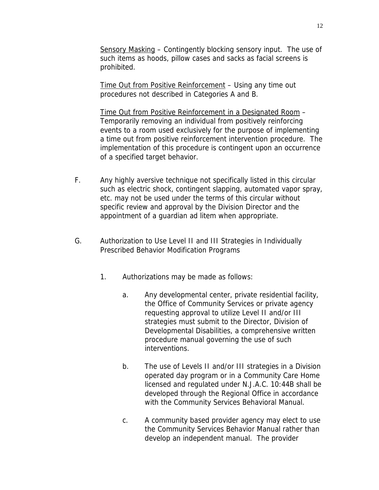Sensory Masking – Contingently blocking sensory input. The use of such items as hoods, pillow cases and sacks as facial screens is prohibited.

Time Out from Positive Reinforcement – Using any time out procedures not described in Categories A and B.

Time Out from Positive Reinforcement in a Designated Room – Temporarily removing an individual from positively reinforcing events to a room used exclusively for the purpose of implementing a time out from positive reinforcement intervention procedure. The implementation of this procedure is contingent upon an occurrence of a specified target behavior.

- F. Any highly aversive technique not specifically listed in this circular such as electric shock, contingent slapping, automated vapor spray, etc. may not be used under the terms of this circular without specific review and approval by the Division Director and the appointment of a guardian ad litem when appropriate.
- G. Authorization to Use Level II and III Strategies in Individually Prescribed Behavior Modification Programs
	- 1. Authorizations may be made as follows:
		- a. Any developmental center, private residential facility, the Office of Community Services or private agency requesting approval to utilize Level II and/or III strategies must submit to the Director, Division of Developmental Disabilities, a comprehensive written procedure manual governing the use of such interventions.
		- b. The use of Levels II and/or III strategies in a Division operated day program or in a Community Care Home licensed and regulated under N.J.A.C. 10:44B shall be developed through the Regional Office in accordance with the Community Services Behavioral Manual.
		- c. A community based provider agency may elect to use the Community Services Behavior Manual rather than develop an independent manual. The provider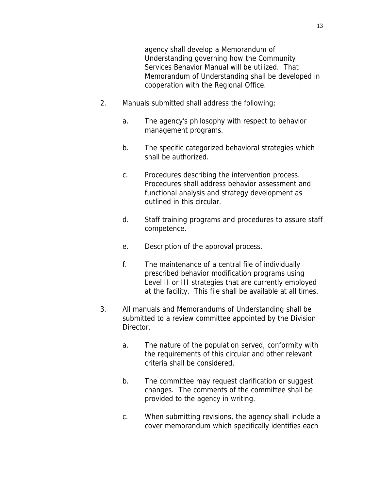agency shall develop a Memorandum of Understanding governing how the Community Services Behavior Manual will be utilized. That Memorandum of Understanding shall be developed in cooperation with the Regional Office.

- 2. Manuals submitted shall address the following:
	- a. The agency's philosophy with respect to behavior management programs.
	- b. The specific categorized behavioral strategies which shall be authorized.
	- c. Procedures describing the intervention process. Procedures shall address behavior assessment and functional analysis and strategy development as outlined in this circular.
	- d. Staff training programs and procedures to assure staff competence.
	- e. Description of the approval process.
	- f. The maintenance of a central file of individually prescribed behavior modification programs using Level II or III strategies that are currently employed at the facility. This file shall be available at all times.
- 3. All manuals and Memorandums of Understanding shall be submitted to a review committee appointed by the Division Director.
	- a. The nature of the population served, conformity with the requirements of this circular and other relevant criteria shall be considered.
	- b. The committee may request clarification or suggest changes. The comments of the committee shall be provided to the agency in writing.
	- c. When submitting revisions, the agency shall include a cover memorandum which specifically identifies each